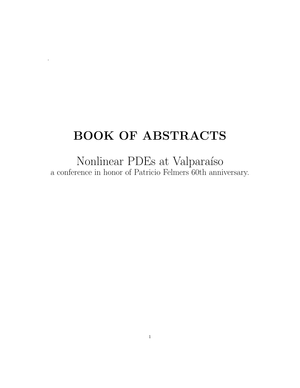# BOOK OF ABSTRACTS

.

Nonlinear PDEs at Valparaíso a conference in honor of Patricio Felmers 60th anniversary.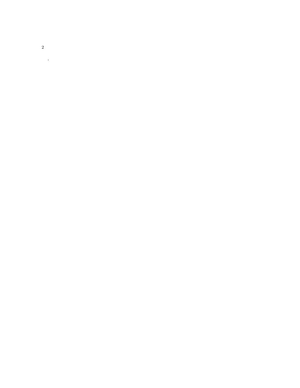2

.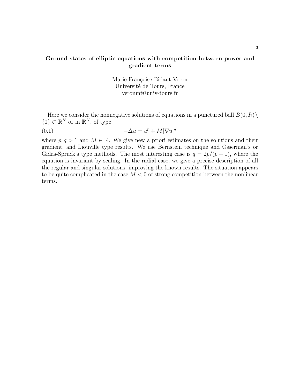#### Ground states of elliptic equations with competition between power and gradient terms

Marie Françoise Bidaut-Veron Université de Tours, France veronmf@univ-tours.fr

Here we consider the nonnegative solutions of equations in a punctured ball  $B(0, R) \setminus$  $\{0\} \subset \mathbb{R}^N$  or in  $\mathbb{R}^N$ , of type

$$
(0.1)\qquad \qquad -\Delta u = u^p + M|\nabla u|^q
$$

where  $p, q > 1$  and  $M \in \mathbb{R}$ . We give new a priori estimates on the solutions and their gradient, and Liouville type results. We use Bernstein technique and Osserman's or Gidas-Spruck's type methods. The most interesting case is  $q = 2p/(p+1)$ , where the equation is invariant by scaling. In the radial case, we give a precise description of all the regular and singular solutions, improving the known results. The situation appears to be quite complicated in the case  $M < 0$  of strong competition between the nonlinear terms.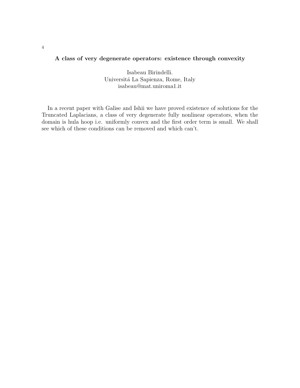#### A class of very degenerate operators: existence through convexity

Isabeau Birindelli. Universitá La Sapienza, Rome, Italy isabeau@mat.uniroma1.it

In a recent paper with Galise and Ishii we have proved existence of solutions for the Truncated Laplacians, a class of very degenerate fully nonlinear operators, when the domain is hula hoop i.e. uniformly convex and the first order term is small. We shall see which of these conditions can be removed and which can't.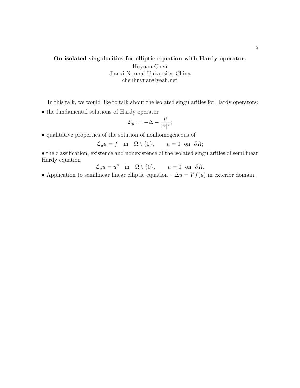#### On isolated singularities for elliptic equation with Hardy operator.

Huyuan Chen Jianxi Normal University, China chenhuyuan@yeah.net

In this talk, we would like to talk about the isolated singularities for Hardy operators:

• the fundamental solutions of Hardy operator

$$
\mathcal{L}_{\mu} := -\Delta - \frac{\mu}{|x|^2};
$$

• qualitative properties of the solution of nonhomogeneous of

 $\mathcal{L}_{\mu}u = f$  in  $\Omega \setminus \{0\}, \quad u = 0$  on  $\partial\Omega;$ 

• the classification, existence and nonexistence of the isolated singularities of semilinear Hardy equation

$$
\mathcal{L}_{\mu}u = u^p
$$
 in  $\Omega \setminus \{0\}$ ,  $u = 0$  on  $\partial\Omega$ .

• Application to semilinear linear elliptic equation  $-\Delta u = V f(u)$  in exterior domain.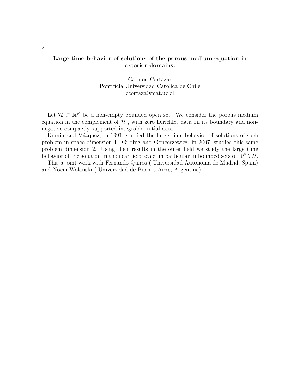## Large time behavior of solutions of the porous medium equation in exterior domains.

## Carmen Cortázar Pontifícia Universidad Católica de Chile ccortaza@mat.uc.cl

Let  $\mathcal{H} \subset \mathbb{R}^N$  be a non-empty bounded open set. We consider the porous medium equation in the complement of  $\mathcal H$ , with zero Dirichlet data on its boundary and nonnegative compactly supported integrable initial data.

Kamin and Vázquez, in 1991, studied the large time behavior of solutions of such problem in space dimension 1. Gilding and Goncerzewicz, in 2007, studied this same problem dimension 2. Using their results in the outer field we study the large time behavior of the solution in the near field scale, in particular in bounded sets of  $\mathbb{R}^N \setminus \mathcal{H}$ .

This a joint work with Fernando Quirós ( Universidad Autonoma de Madrid, Spain) and Noem Wolanski ( Universidad de Buenos Aires, Argentina).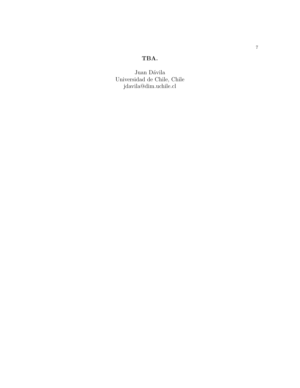## TBA.

Juan Dávila Universidad de Chile, Chile jdavila@dim.uchile.cl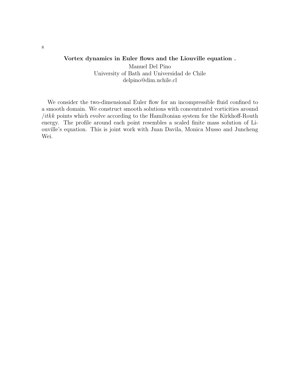## Vortex dynamics in Euler flows and the Liouville equation .

Manuel Del Pino University of Bath and Universidad de Chile delpino@dim.uchile.cl

We consider the two-dimensional Euler flow for an incompressible fluid confined to a smooth domain. We construct smooth solutions with concentrated vorticities around /itkk points which evolve according to the Hamiltonian system for the Kirkhoff-Routh energy. The profile around each point resembles a scaled finite mass solution of Liouville's equation. This is joint work with Juan Davila, Monica Musso and Juncheng Wei.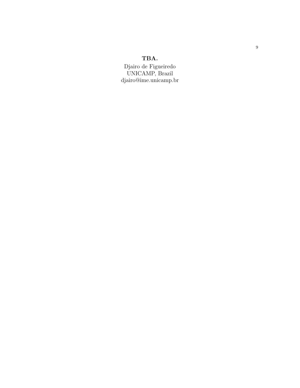## TBA.

Djairo de Figueiredo UNICAMP, Brazil djairo@ime.unicamp.br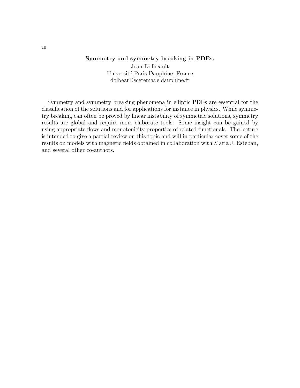#### Symmetry and symmetry breaking in PDEs.

Jean Dolbeault Université Paris-Dauphine, France dolbeaul@ceremade.dauphine.fr

Symmetry and symmetry breaking phenomena in elliptic PDEs are essential for the classification of the solutions and for applications for instance in physics. While symmetry breaking can often be proved by linear instability of symmetric solutions, symmetry results are global and require more elaborate tools. Some insight can be gained by using appropriate flows and monotonicity properties of related functionals. The lecture is intended to give a partial review on this topic and will in particular cover some of the results on models with magnetic fields obtained in collaboration with Maria J. Esteban, and several other co-authors.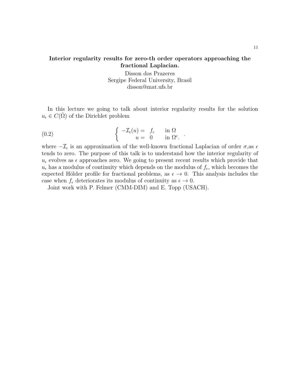### Interior regularity results for zero-th order operators approaching the fractional Laplacian.

Disson dos Prazeres Sergipe Federal University, Brasil disson@mat.ufs.br

In this lecture we going to talk about interior regularity results for the solution  $u_{\epsilon} \in C(\Omega)$  of the Dirichlet problem

.

(0.2) 
$$
\begin{cases} -\mathcal{I}_{\epsilon}(u) = f_{\epsilon} & \text{in } \Omega \\ u = 0 & \text{in } \Omega^c. \end{cases}
$$

where  $-\mathcal{I}_{\epsilon}$  is an approximation of the well-known fractional Laplacian of order  $\sigma$ , as  $\epsilon$ tends to zero. The purpose of this talk is to understand how the interior regularity of  $u_{\epsilon}$  evolves as  $\epsilon$  approaches zero. We going to present recent results which provide that  $u_{\epsilon}$  has a modulus of continuity which depends on the modulus of  $f_{\epsilon}$ , which becomes the expected Hölder profile for fractional problems, as  $\epsilon \to 0$ . This analysis includes the case when  $f_{\epsilon}$  deteriorates its modulus of continuity as  $\epsilon \to 0$ .

Joint work with P. Felmer (CMM-DIM) and E. Topp (USACH).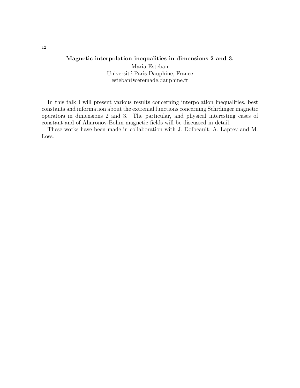# Magnetic interpolation inequalities in dimensions 2 and 3.

Maria Esteban Université Paris-Dauphine, France esteban@ceremade.dauphine.fr

In this talk I will present various results concerning interpolation inequalities, best constants and information about the extremal functions concerning Schrdinger magnetic operators in dimensions 2 and 3. The particular, and physical interesting cases of constant and of Aharonov-Bohm magnetic fields will be discussed in detail.

These works have been made in collaboration with J. Dolbeault, A. Laptev and M. Loss.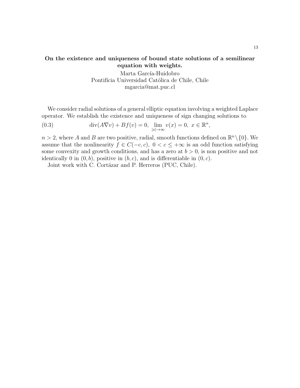## On the existence and uniqueness of bound state solutions of a semilinear equation with weights.

Marta García-Huidobro Pontifícia Universidad Católica de Chile, Chile mgarcia@mat.puc.cl

We consider radial solutions of a general elliptic equation involving a weighted Laplace operator. We establish the existence and uniqueness of sign changing solutions to

(0.3) 
$$
\operatorname{div}(A\nabla v) + Bf(v) = 0, \ \lim_{|x| \to \infty} v(x) = 0, \ x \in \mathbb{R}^n,
$$

 $n > 2$ , where A and B are two positive, radial, smooth functions defined on  $\mathbb{R}^n \setminus \{0\}$ . We assume that the nonlinearity  $f \in C(-c, c)$ ,  $0 < c \leq +\infty$  is an odd function satisfying some convexity and growth conditions, and has a zero at  $b > 0$ , is non positive and not identically 0 in  $(0, b)$ , positive in  $(b, c)$ , and is differentiable in  $(0, c)$ .

Joint work with C. Cortázar and P. Herreros (PUC, Chile).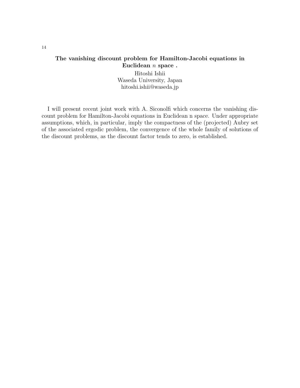## The vanishing discount problem for Hamilton-Jacobi equations in Euclidean  $n$  space.

Hitoshi Ishii Waseda University, Japan hitoshi.ishii@waseda.jp

I will present recent joint work with A. Siconolfi which concerns the vanishing discount problem for Hamilton-Jacobi equations in Euclidean n space. Under appropriate assumptions, which, in particular, imply the compactness of the (projected) Aubry set of the associated ergodic problem, the convergence of the whole family of solutions of the discount problems, as the discount factor tends to zero, is established.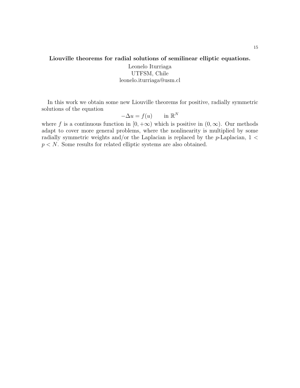Liouville theorems for radial solutions of semilinear elliptic equations.

Leonelo Iturriaga UTFSM, Chile leonelo.iturriaga@usm.cl

In this work we obtain some new Liouville theorems for positive, radially symmetric solutions of the equation

$$
-\Delta u = f(u) \quad \text{in } \mathbb{R}^N
$$

where f is a continuous function in  $[0, +\infty)$  which is positive in  $(0, \infty)$ . Our methods adapt to cover more general problems, where the nonlinearity is multiplied by some radially symmetric weights and/or the Laplacian is replaced by the  $p$ -Laplacian,  $1 <$  $p < N$ . Some results for related elliptic systems are also obtained.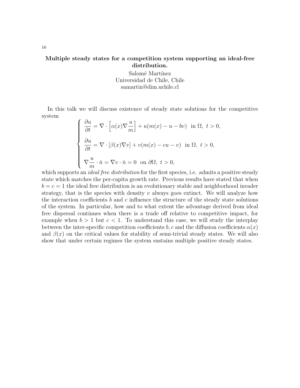## Multiple steady states for a competition system supporting an ideal-free distribution.

Salomé Martínez Universidad de Chile, Chile samartin@dim.uchile.cl

In this talk we will discuss existence of steady state solutions for the competitive system

$$
\begin{cases}\n\frac{\partial u}{\partial t} = \nabla \cdot \left[ \alpha(x) \nabla \frac{u}{m} \right] + u(m(x) - u - bv) & \text{in } \Omega, \ t > 0, \\
\frac{\partial u}{\partial t} = \nabla \cdot \left[ \beta(x) \nabla v \right] + v(m(x) - cu - v) & \text{in } \Omega, \ t > 0, \\
\nabla \frac{u}{m} \cdot \hat{n} = \nabla v \cdot \hat{n} = 0 & \text{on } \partial \Omega, \ t > 0,\n\end{cases}
$$

which supports an *ideal free distribution* for the first species, i.e. admits a positive steady state which matches the per-capita growth rate. Previous results have stated that when  $b = c = 1$  the ideal free distribution is an evolutionary stable and neighborhood invader strategy, that is the species with density  $v$  always goes extinct. We will analyze how the interaction coefficients  $b$  and  $c$  influence the structure of the steady state solutions of the system. In particular, how and to what extent the advantage derived from ideal free dispersal continues when there is a trade off relative to competitive impact, for example when  $b > 1$  but  $c < 1$ . To understand this case, we will study the interplay between the inter-specific competition coefficients b, c and the diffusion coefficients  $\alpha(x)$ and  $\beta(x)$  on the critical values for stability of semi-trivial steady states. We will also show that under certain regimes the system sustains multiple positive steady states.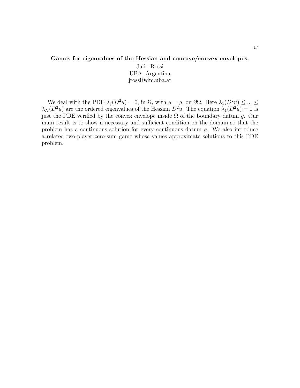#### Games for eigenvalues of the Hessian and concave/convex envelopes.

Julio Rossi UBA, Argentina jrossi@dm.uba.ar

We deal with the PDE  $\lambda_j(D^2u) = 0$ , in  $\Omega$ , with  $u = g$ , on  $\partial\Omega$ . Here  $\lambda_1(D^2u) \leq ... \leq \lambda_k$  $\lambda_N(D^2u)$  are the ordered eigenvalues of the Hessian  $D^2u$ . The equation  $\lambda_1(D^2u)=0$  is just the PDE verified by the convex envelope inside  $\Omega$  of the boundary datum q. Our main result is to show a necessary and sufficient condition on the domain so that the problem has a continuous solution for every continuous datum g. We also introduce a related two-player zero-sum game whose values approximate solutions to this PDE problem.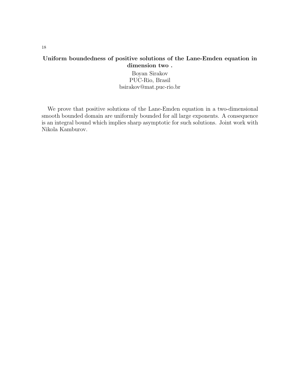## Uniform boundedness of positive solutions of the Lane-Emden equation in dimension two .

Boyan Sirakov PUC-Rio, Brasil bsirakov@mat.puc-rio.br

We prove that positive solutions of the Lane-Emden equation in a two-dimensional smooth bounded domain are uniformly bounded for all large exponents. A consequence is an integral bound which implies sharp asymptotic for such solutions. Joint work with Nikola Kamburov.

18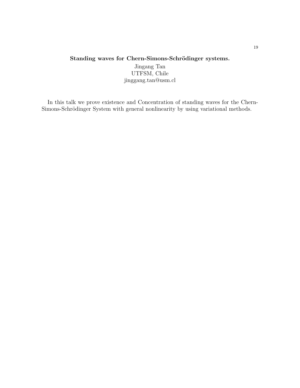## Standing waves for Chern-Simons-Schrödinger systems. Jingang Tan UTFSM, Chile jinggang.tan@usm.cl

In this talk we prove existence and Concentration of standing waves for the Chern-Simons-Schrödinger System with general nonlinearity by using variational methods.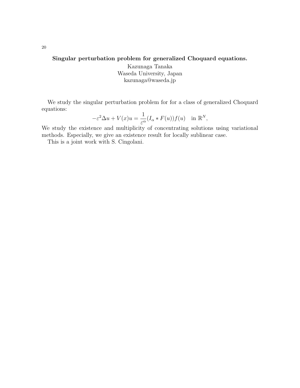#### Singular perturbation problem for generalized Choquard equations.

Kazunaga Tanaka Waseda University, Japan kazunaga@waseda.jp

We study the singular perturbation problem for for a class of generalized Choquard equations:

$$
-\varepsilon^2 \Delta u + V(x)u = \frac{1}{\varepsilon^{\alpha}} (I_{\alpha} * F(u))f(u) \text{ in } \mathbb{R}^N,
$$

We study the existence and multiplicity of concentrating solutions using variational methods. Especially, we give an existence result for locally sublinear case.

This is a joint work with S. Cingolani.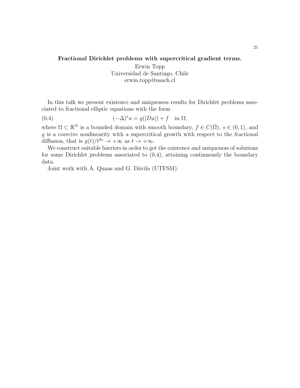#### Fractional Dirichlet problems with supercritical gradient terms.

Erwin Topp Universidad de Santiago, Chile erwin.topp@usach.cl

In this talk we present existence and uniqueness results for Dirichlet problems associated to fractional elliptic equations with the form

(0.4)  $(-\Delta)^s u = g(|Du|) + f \text{ in } \Omega,$ 

where  $\Omega \subset \mathbb{R}^N$  is a bounded domain with smooth boundary,  $f \in C(\overline{\Omega})$ ,  $s \in (0,1)$ , and  $g$  is a coercive nonlinearity with a supercritical growth with respect to the fractional diffusion, that is  $g(t)/t^{2s} \to +\infty$  as  $t \to +\infty$ .

We construct suitable barriers in order to get the existence and uniqueness of solutions for some Dirichlet problems associated to (0.4), attaining continuously the boundary data.

Joint wotk with A. Quaas and G. Dávila (UTFSM).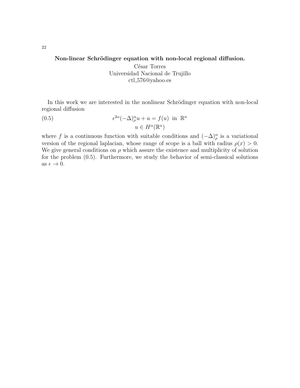#### Non-linear Schrödinger equation with non-local regional diffusion.

César Torres Universidad Nacional de Trujillo ctl 576@yahoo.es

In this work we are interested in the nonlinear Schrödinger equation with non-local regional diffusion

(0.5) 
$$
\epsilon^{2\alpha} (-\Delta)_{\rho}^{\alpha} u + u = f(u) \text{ in } \mathbb{R}^n
$$

$$
u \in H^{\alpha}(\mathbb{R}^n)
$$

where f is a continuous function with suitable conditions and  $(-\Delta)^\alpha_\rho$  is a variational version of the regional laplacian, whose range of scope is a ball with radius  $\rho(x) > 0$ . We give general conditions on  $\rho$  which assure the existence and multiplicity of solution for the problem (0.5). Furthermore, we study the behavior of semi-classical solutions as  $\epsilon \to 0$ .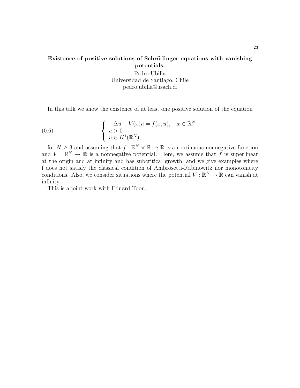## Existence of positive solutions of Schrödinger equations with vanishing potentials.

Pedro Ubilla Universidad de Santiago, Chile pedro.ubilla@usach.cl

In this talk we show the existence of at least one positive solution of the equation

(0.6) 
$$
\begin{cases}\n-\Delta u + V(x)u = f(x, u), & x \in \mathbb{R}^N \\
u > 0 \\
u \in H^1(\mathbb{R}^N),\n\end{cases}
$$

for  $N \geq 3$  and assuming that  $f : \mathbb{R}^N \times \mathbb{R} \to \mathbb{R}$  is a continuous nonnegative function and  $V : \mathbb{R}^N \to \mathbb{R}$  is a nonnegative potential. Here, we assume that f is superlinear at the origin and at infinity and has subcritical growth, and we give examples where f does not satisfy the classical condition of Ambrosetti-Rabinowitz nor monotonicity conditions. Also, we consider situations where the potential  $V : \mathbb{R}^N \to \mathbb{R}$  can vanish at infinity.

This is a joint work with Eduard Toon.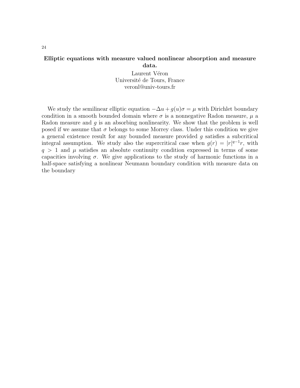### Elliptic equations with measure valued nonlinear absorption and measure data.

Laurent Véron Université de Tours, France veronl@univ-tours.fr

We study the semilinear elliptic equation  $-\Delta u + q(u)\sigma = \mu$  with Dirichlet boundary condition in a smooth bounded domain where  $\sigma$  is a nonnegative Radon measure,  $\mu$  a Radon measure and  $g$  is an absorbing nonlinearity. We show that the problem is well posed if we assume that  $\sigma$  belongs to some Morrey class. Under this condition we give a general existence result for any bounded measure provided g satisfies a subcritical integral assumption. We study also the supercritical case when  $g(r) = |r|^{q-1}r$ , with  $q > 1$  and  $\mu$  satisfies an absolute continuity condition expressed in terms of some capacities involving  $\sigma$ . We give applications to the study of harmonic functions in a half-space satisfying a nonlinear Neumann boundary condition with measure data on the boundary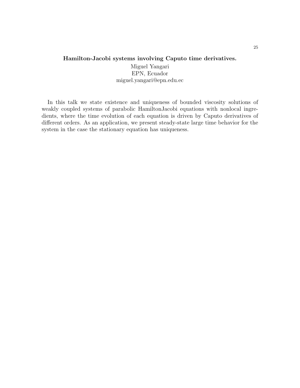## Hamilton-Jacobi systems involving Caputo time derivatives. Miguel Yangari EPN, Ecuador miguel.yangari@epn.edu.ec

In this talk we state existence and uniqueness of bounded viscosity solutions of weakly coupled systems of parabolic HamiltonJacobi equations with nonlocal ingredients, where the time evolution of each equation is driven by Caputo derivatives of different orders. As an application, we present steady-state large time behavior for the system in the case the stationary equation has uniqueness.